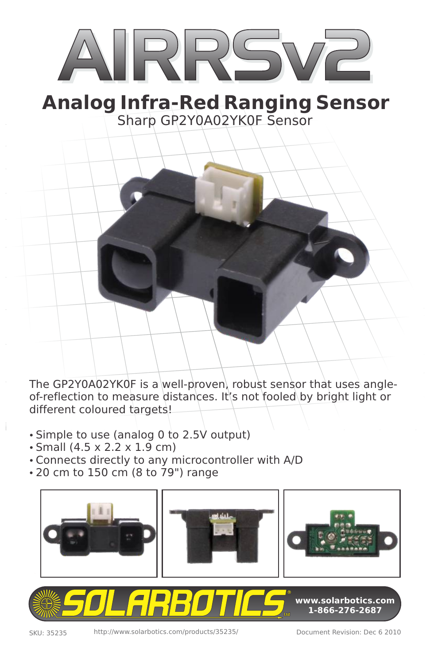# IRR

## Sharp GP2Y0A02YK0F Sensor **Analog Infra-Red Ranging Sensor**

The GP2Y0A02YK0F is a well-proven, robust sensor that uses angleof-reflection to measure distances. It's not fooled by bright light or different coloured targets!

- Simple to use (analog 0 to 2.5V output)
- Small (4.5 x 2.2 x 1.9 cm)
- Connects directly to any microcontroller with A/D
- 20 cm to 150 cm (8 to 79") range



**1-866-276-2687**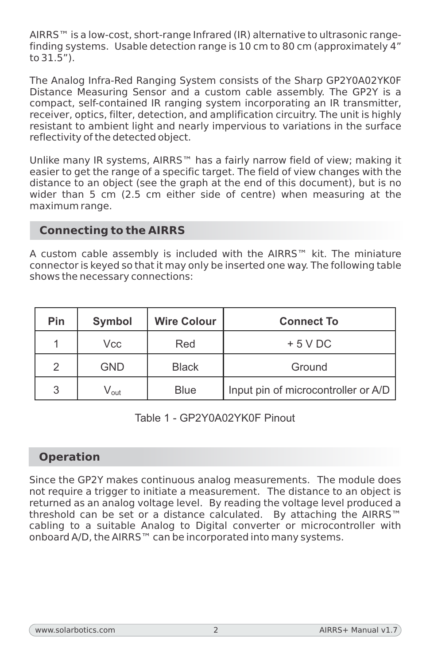AIRRS™ is a low-cost, short-range Infrared (IR) alternative to ultrasonic rangefinding systems. Usable detection range is 10 cm to 80 cm (approximately 4" to 31.5").

The Analog Infra-Red Ranging System consists of the Sharp GP2Y0A02YK0F Distance Measuring Sensor and a custom cable assembly. The GP2Y is a compact, self-contained IR ranging system incorporating an IR transmitter, receiver, optics, filter, detection, and amplification circuitry. The unit is highly resistant to ambient light and nearly impervious to variations in the surface reflectivity of the detected object.

Unlike many IR systems, AIRRS™ has a fairly narrow field of view; making it easier to get the range of a specific target. The field of view changes with the distance to an object (see the graph at the end of this document), but is no wider than 5 cm (2.5 cm either side of centre) when measuring at the maximum range.

#### **Connecting to the AIRRS**

A custom cable assembly is included with the AIRRS™ kit. The miniature connector is keyed so that it may only be inserted one way. The following table shows the necessary connections:

| Pin           | Symbol                      | <b>Wire Colour</b> | <b>Connect To</b>                   |
|---------------|-----------------------------|--------------------|-------------------------------------|
|               | Vcc                         | Red                | $+5$ V DC                           |
| $\mathcal{P}$ | <b>GND</b>                  | <b>Black</b>       | Ground                              |
| 3             | $\mathsf{V}_{\mathsf{out}}$ | Blue               | Input pin of microcontroller or A/D |

#### Table 1 - GP2Y0A02YK0F Pinout

#### **Operation**

Since the GP2Y makes continuous analog measurements. The module does not require a trigger to initiate a measurement. The distance to an object is returned as an analog voltage level. By reading the voltage level produced a threshold can be set or a distance calculated. By attaching the AIRRS™ cabling to a suitable Analog to Digital converter or microcontroller with onboard A/D, the AIRRS™ can be incorporated into many systems.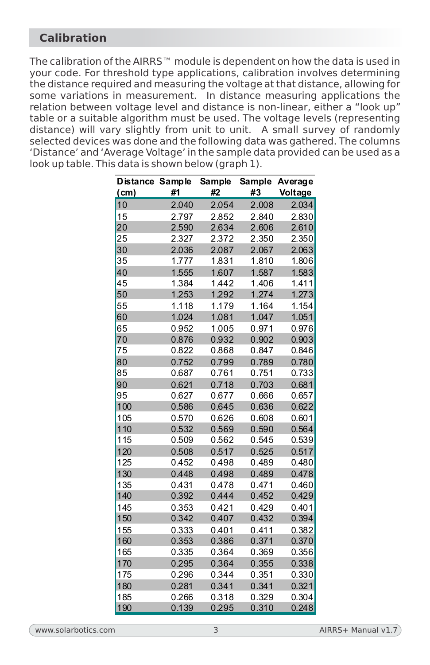#### **Calibration**

The calibration of the AIRRS<sup>™</sup> module is dependent on how the data is used in your code. For threshold type applications, calibration involves determining the distance required and measuring the voltage at that distance, allowing for some variations in measurement. In distance measuring applications the relation between voltage level and distance is non-linear, either a "look up" table or a suitable algorithm must be used. The voltage levels (representing distance) will vary slightly from unit to unit. A small survey of randomly selected devices was done and the following data was gathered. The columns 'Distance' and 'Average Voltage' in the sample data provided can be used as a look up table. This data is shown below (graph 1).

| Distance Sample |       | Sample | Sample | Average |
|-----------------|-------|--------|--------|---------|
| (cm)            | #1    | #2     | #3     | Voltage |
| 10              | 2.040 | 2.054  | 2.008  | 2.034   |
| 15              | 2.797 | 2.852  | 2.840  | 2.830   |
| 20              | 2.590 | 2.634  | 2.606  | 2.610   |
| 25              | 2.327 | 2.372  | 2.350  | 2.350   |
| 30              | 2.036 | 2.087  | 2.067  | 2.063   |
| 35              | 1.777 | 1.831  | 1.810  | 1.806   |
| 40              | 1.555 | 1.607  | 1.587  | 1.583   |
| 45              | 1.384 | 1.442  | 1.406  | 1.411   |
| 50              | 1.253 | 1.292  | 1.274  | 1.273   |
| 55              | 1.118 | 1.179  | 1.164  | 1.154   |
| 60              | 1.024 | 1.081  | 1.047  | 1.051   |
| 65              | 0.952 | 1.005  | 0.971  | 0.976   |
| 70              | 0.876 | 0.932  | 0.902  | 0.903   |
| 75              | 0.822 | 0.868  | 0.847  | 0.846   |
| 80              | 0.752 | 0.799  | 0.789  | 0.780   |
| 85              | 0.687 | 0.761  | 0.751  | 0.733   |
| 90              | 0.621 | 0.718  | 0.703  | 0.681   |
| 95              | 0.627 | 0.677  | 0.666  | 0.657   |
| 100             | 0.586 | 0.645  | 0.636  | 0.622   |
| 105             | 0.570 | 0.626  | 0.608  | 0.601   |
| 110             | 0.532 | 0.569  | 0.590  | 0.564   |
| 115             | 0.509 | 0.562  | 0.545  | 0.539   |
| 120             | 0.508 | 0.517  | 0.525  | 0.517   |
| 125             | 0.452 | 0.498  | 0.489  | 0.480   |
| 130             | 0.448 | 0.498  | 0.489  | 0.478   |
| 135             | 0.431 | 0.478  | 0.471  | 0.460   |
| 140             | 0.392 | 0.444  | 0.452  | 0.429   |
| 145             | 0.353 | 0.421  | 0.429  | 0.401   |
| 150             | 0.342 | 0.407  | 0.432  | 0.394   |
| 155             | 0.333 | 0.401  | 0.411  | 0.382   |
| 160             | 0.353 | 0.386  | 0.371  | 0.370   |
| 165             | 0.335 | 0.364  | 0.369  | 0.356   |
| 170             | 0.295 | 0.364  | 0.355  | 0.338   |
| 175             | 0.296 | 0.344  | 0.351  | 0.330   |
| 180             | 0.281 | 0.341  | 0.341  | 0.321   |
| 185             | 0.266 | 0.318  | 0.329  | 0.304   |
| 190             | 0.139 | 0.295  | 0.310  | 0.248   |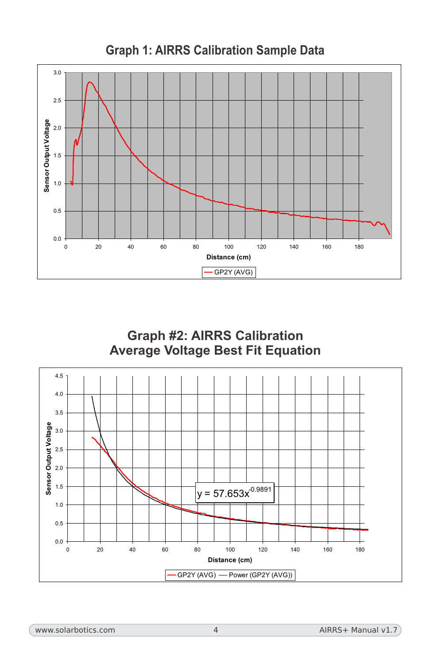

**Graph 1: AIRRS Calibration Sample Data**



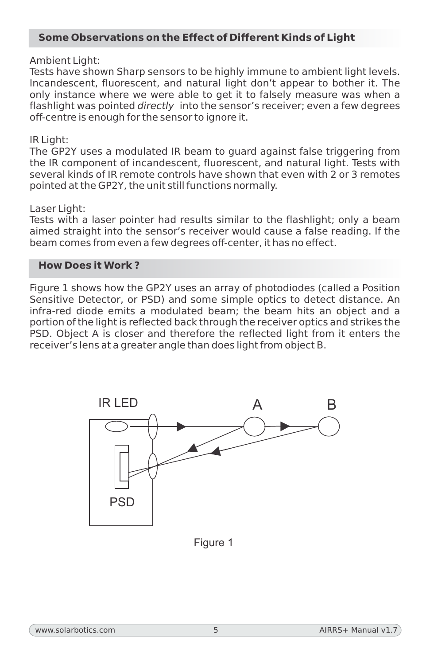#### **Some Observations on the Effect of Different Kinds of Light**

#### Ambient Light:

Tests have shown Sharp sensors to be highly immune to ambient light levels. Incandescent, fluorescent, and natural light don't appear to bother it. The only instance where we were able to get it to falsely measure was when a flashlight was pointed *directly* into the sensor's receiver; even a few degrees off-centre is enough for the sensor to ignore it.

#### IR Light:

The GP2Y uses a modulated IR beam to guard against false triggering from the IR component of incandescent, fluorescent, and natural light. Tests with several kinds of IR remote controls have shown that even with 2 or 3 remotes pointed at the GP2Y, the unit still functions normally.

#### Laser Light:

Tests with a laser pointer had results similar to the flashlight; only a beam aimed straight into the sensor's receiver would cause a false reading. If the beam comes from even a few degrees off-center, it has no effect.

#### **How Does it Work ?**

Figure 1 shows how the GP2Y uses an array of photodiodes (called a Position Sensitive Detector, or PSD) and some simple optics to detect distance. An infra-red diode emits a modulated beam; the beam hits an object and a portion of the light is reflected back through the receiver optics and strikes the PSD. Object A is closer and therefore the reflected light from it enters the receiver's lens at a greater angle than does light from object B.



Figure 1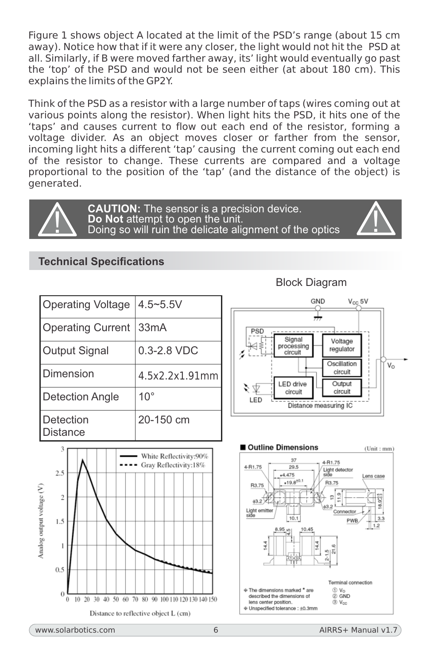Figure 1 shows object A located at the limit of the PSD's range (about 15 cm away). Notice how that if it were any closer, the light would not hit the PSD at all. Similarly, if B were moved farther away, its' light would eventually go past the 'top' of the PSD and would not be seen either (at about 180 cm). This explains the limits of the GP2Y.

Think of the PSD as a resistor with a large number of taps (wires coming out at various points along the resistor). When light hits the PSD, it hits one of the 'taps' and causes current to flow out each end of the resistor, forming a voltage divider. As an object moves closer or farther from the sensor, incoming light hits a different 'tap' causing the current coming out each end of the resistor to change. These currents are compared and a voltage proportional to the position of the 'tap' (and the distance of the object) is generated.



**CAUTION:** The sensor is a precision device.<br>**Do Not** attempt to open the unit. Doing so will ruin the delicate alignment of the optics

#### **Technical Specifications**

Operating Voltage  $|4.5 \sim 5.5$ V Operating Current 33mA Output Signal | 0.3-2.8 VDC Dimension 4.5x2.2x1.91mm Detection Angle | 10° Detection **Distance** 20-150 cm



GND  $V_{CC}$ 5V ₩. PSD Signal Voltage ₹ processing regulator circuit Oscillation  $V_{\rm O}$ circuit **LED** drive Output ₹ ⊅ circuit circuit LED Distance measuring IC



Block Diagram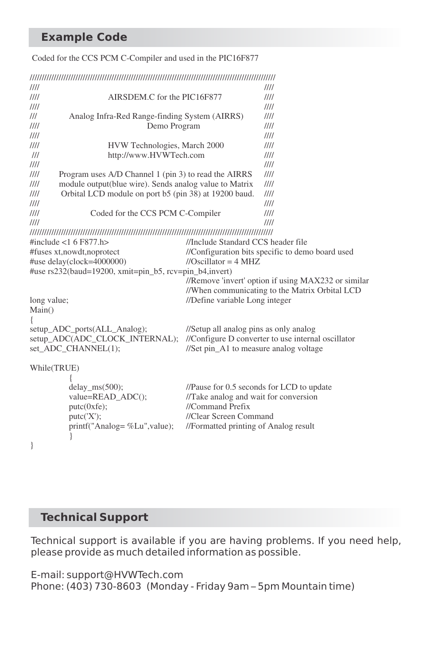#### **Example Code**

#### Coded for the CCS PCM C-Compiler and used in the PIC16F877

| ////                           |                                                         | 1111                                               |                                                     |  |
|--------------------------------|---------------------------------------------------------|----------------------------------------------------|-----------------------------------------------------|--|
| 1111                           | AIRSDEM.C for the PIC16F877                             | III                                                |                                                     |  |
| 1111                           |                                                         | III                                                |                                                     |  |
| III                            | Analog Infra-Red Range-finding System (AIRRS)           | 1111                                               |                                                     |  |
| 1111                           | Demo Program                                            | ////                                               |                                                     |  |
| 1111                           |                                                         |                                                    | III                                                 |  |
| 1111                           | HVW Technologies, March 2000                            | III                                                |                                                     |  |
| $^{\prime\prime\prime}$        | http://www.HVWTech.com                                  | III                                                |                                                     |  |
| 1111                           |                                                         |                                                    | 1111                                                |  |
| 1111                           | Program uses A/D Channel 1 (pin 3) to read the AIRRS    | 1111                                               |                                                     |  |
| III                            | module output(blue wire). Sends analog value to Matrix  | 1111                                               |                                                     |  |
| 1111                           | Orbital LCD module on port b5 (pin 38) at 19200 baud.   | 1111                                               |                                                     |  |
| 1111                           |                                                         |                                                    | III                                                 |  |
| 1111                           | Coded for the CCS PCM C-Compiler                        |                                                    | 1111                                                |  |
| 1111                           |                                                         |                                                    | 1111                                                |  |
|                                |                                                         |                                                    |                                                     |  |
|                                | #include $<$ 1 6 F877.h>                                | //Include Standard CCS header file                 |                                                     |  |
|                                | #fuses xt, nowdt, no protect                            | //Configuration bits specific to demo board used   |                                                     |  |
| #use delay(clock=4000000)      |                                                         | //Oscillator = $4 \text{ MHz}$                     |                                                     |  |
|                                | #use rs232(baud=19200, xmit=pin_b5, rcv=pin_b4, invert) |                                                    |                                                     |  |
|                                |                                                         |                                                    | //Remove 'invert' option if using MAX232 or similar |  |
|                                |                                                         |                                                    | //When communicating to the Matrix Orbital LCD      |  |
| long value;                    |                                                         | //Define variable Long integer                     |                                                     |  |
| Main()                         |                                                         |                                                    |                                                     |  |
| ₹                              |                                                         |                                                    |                                                     |  |
|                                | setup_ADC_ports(ALL_Analog);                            | //Setup all analog pins as only analog             |                                                     |  |
| setup_ADC(ADC_CLOCK_INTERNAL); |                                                         | //Configure D converter to use internal oscillator |                                                     |  |
| set_ADC_CHANNEL(1);            |                                                         | //Set pin_A1 to measure analog voltage             |                                                     |  |
| While(TRUE)                    |                                                         |                                                    |                                                     |  |
|                                |                                                         |                                                    |                                                     |  |
|                                | $delay_{ms}(500);$                                      |                                                    | //Pause for 0.5 seconds for LCD to update           |  |
|                                | value=READ_ADC();                                       | //Take analog and wait for conversion              |                                                     |  |
|                                | putc(0xfe);                                             | //Command Prefix                                   |                                                     |  |
|                                | putc('X');                                              | //Clear Screen Command                             |                                                     |  |
|                                | printf("Analog= %Lu", value);                           | //Formatted printing of Analog result              |                                                     |  |
|                                |                                                         |                                                    |                                                     |  |
| ι                              |                                                         |                                                    |                                                     |  |

}

#### **Technical Support**

Technical support is available if you are having problems. If you need help, please provide as much detailed information as possible.

E-mail: support@HVWTech.com Phone: (403) 730-8603 (Monday - Friday 9am – 5pm Mountain time)